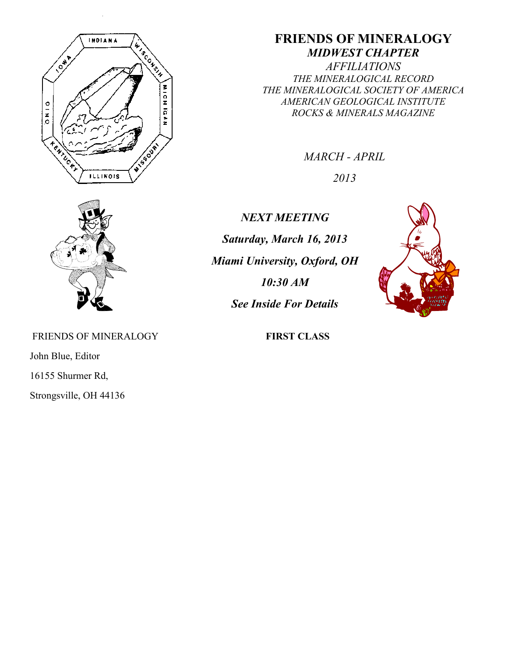

# **FRIENDS OF MINERALOGY** *MIDWEST CHAPTER*

*AFFILIATIONS THE MINERALOGICAL RECORD THE MINERALOGICAL SOCIETY OF AMERICA AMERICAN GEOLOGICAL INSTITUTE ROCKS & MINERALS MAGAZINE*

*MARCH - APRIL*

*2013*



FRIENDS OF MINERALOGY **FIRST CLASS** 

John Blue, Editor

16155 Shurmer Rd,

Strongsville, OH 44136

*NEXT MEETING Saturday, March 16, 2013 Miami University, Oxford, OH 10:30 AM See Inside For Details*

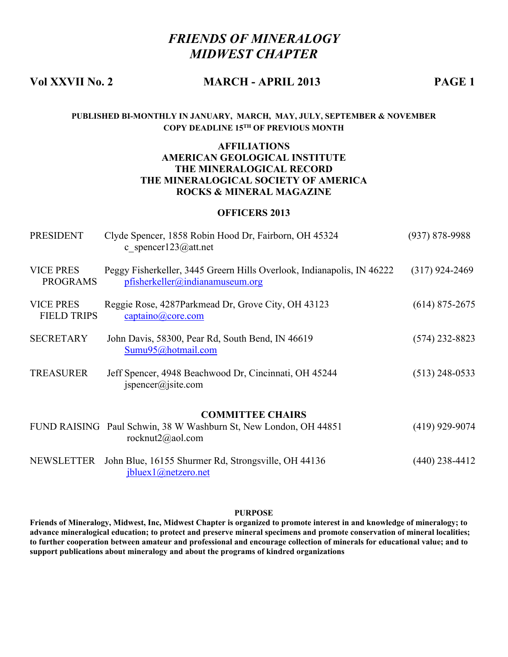# *FRIENDS OF MINERALOGY MIDWEST CHAPTER*

## **Vol XXVII No. 2 MARCH - APRIL 2013 PAGE 1**

#### **PUBLISHED BI-MONTHLY IN JANUARY, MARCH, MAY, JULY, SEPTEMBER & NOVEMBER COPY DEADLINE 15TH OF PREVIOUS MONTH**

#### **AFFILIATIONS AMERICAN GEOLOGICAL INSTITUTE THE MINERALOGICAL RECORD THE MINERALOGICAL SOCIETY OF AMERICA ROCKS & MINERAL MAGAZINE**

#### **OFFICERS 2013**

| <b>PRESIDENT</b>                       | Clyde Spencer, 1858 Robin Hood Dr, Fairborn, OH 45324<br>c spencer123@att.net                             | $(937) 878 - 9988$ |  |
|----------------------------------------|-----------------------------------------------------------------------------------------------------------|--------------------|--|
| <b>VICE PRES</b><br><b>PROGRAMS</b>    | Peggy Fisherkeller, 3445 Greern Hills Overlook, Indianapolis, IN 46222<br>pfisherkeller@indianamuseum.org | $(317)$ 924-2469   |  |
| <b>VICE PRES</b><br><b>FIELD TRIPS</b> | Reggie Rose, 4287Parkmead Dr, Grove City, OH 43123<br>$\frac{captaino(a)core.com}{}$                      | $(614)$ 875-2675   |  |
| <b>SECRETARY</b>                       | John Davis, 58300, Pear Rd, South Bend, IN 46619<br>Sumu95@hotmail.com                                    | $(574)$ 232-8823   |  |
| <b>TREASURER</b>                       | Jeff Spencer, 4948 Beachwood Dr, Cincinnati, OH 45244<br>ispencer@jsite.com                               | $(513)$ 248-0533   |  |
| <b>COMMITTEE CHAIRS</b>                |                                                                                                           |                    |  |
|                                        | FUND RAISING Paul Schwin, 38 W Washburn St, New London, OH 44851<br>rocknut $2$ @aol.com                  | $(419)$ 929-9074   |  |
| NEWSLETTER                             | John Blue, 16155 Shurmer Rd, Strongsville, OH 44136<br>jbluex1@netzero.net                                | (440) 238-4412     |  |

#### **PURPOSE**

**Friends of Mineralogy, Midwest, Inc, Midwest Chapter is organized to promote interest in and knowledge of mineralogy; to advance mineralogical education; to protect and preserve mineral specimens and promote conservation of mineral localities; to further cooperation between amateur and professional and encourage collection of minerals for educational value; and to support publications about mineralogy and about the programs of kindred organizations**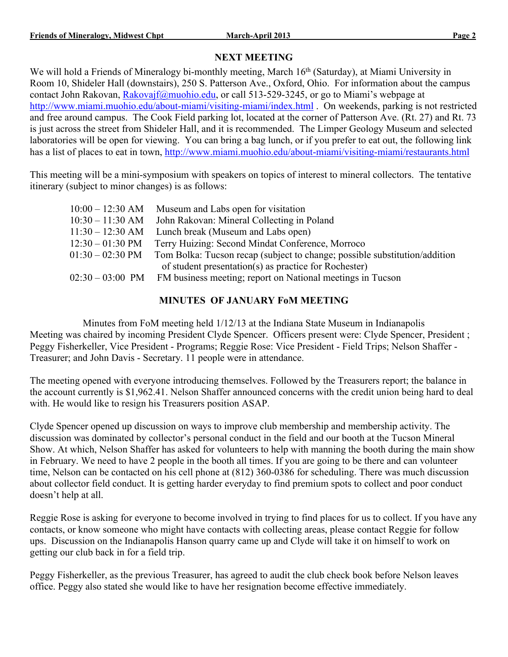## **NEXT MEETING**

We will hold a Friends of Mineralogy bi-monthly meeting, March 16th (Saturday), at Miami University in Room 10, Shideler Hall (downstairs), 250 S. Patterson Ave., Oxford, Ohio. For information about the campus contact John Rakovan, Rakovajf@muohio.edu, or call 513-529-3245, or go to Miami's webpage at http://www.miami.muohio.edu/about-miami/visiting-miami/index.html . On weekends, parking is not restricted and free around campus. The Cook Field parking lot, located at the corner of Patterson Ave. (Rt. 27) and Rt. 73 is just across the street from Shideler Hall, and it is recommended. The Limper Geology Museum and selected laboratories will be open for viewing. You can bring a bag lunch, or if you prefer to eat out, the following link has a list of places to eat in town, http://www.miami.muohio.edu/about-miami/visiting-miami/restaurants.html

This meeting will be a mini-symposium with speakers on topics of interest to mineral collectors. The tentative itinerary (subject to minor changes) is as follows:

| $10:00 - 12:30$ AM         | Museum and Labs open for visitation                                        |
|----------------------------|----------------------------------------------------------------------------|
| $10:30 - 11:30$ AM         | John Rakovan: Mineral Collecting in Poland                                 |
| $11:30 - 12:30$ AM         | Lunch break (Museum and Labs open)                                         |
| $12:30 - 01:30 \text{ PM}$ | Terry Huizing: Second Mindat Conference, Morroco                           |
| $01:30 - 02:30 \text{ PM}$ | Tom Bolka: Tucson recap (subject to change; possible substitution/addition |
|                            | of student presentation(s) as practice for Rochester)                      |
| $02:30 - 03:00 \text{ PM}$ | FM business meeting; report on National meetings in Tucson                 |
|                            |                                                                            |

### **MINUTES OF JANUARY FoM MEETING**

Minutes from FoM meeting held 1/12/13 at the Indiana State Museum in Indianapolis Meeting was chaired by incoming President Clyde Spencer. Officers present were: Clyde Spencer, President ; Peggy Fisherkeller, Vice President - Programs; Reggie Rose: Vice President - Field Trips; Nelson Shaffer - Treasurer; and John Davis - Secretary. 11 people were in attendance.

The meeting opened with everyone introducing themselves. Followed by the Treasurers report; the balance in the account currently is \$1,962.41. Nelson Shaffer announced concerns with the credit union being hard to deal with. He would like to resign his Treasurers position ASAP.

Clyde Spencer opened up discussion on ways to improve club membership and membership activity. The discussion was dominated by collector's personal conduct in the field and our booth at the Tucson Mineral Show. At which, Nelson Shaffer has asked for volunteers to help with manning the booth during the main show in February. We need to have 2 people in the booth all times. If you are going to be there and can volunteer time, Nelson can be contacted on his cell phone at (812) 360-0386 for scheduling. There was much discussion about collector field conduct. It is getting harder everyday to find premium spots to collect and poor conduct doesn't help at all.

Reggie Rose is asking for everyone to become involved in trying to find places for us to collect. If you have any contacts, or know someone who might have contacts with collecting areas, please contact Reggie for follow ups. Discussion on the Indianapolis Hanson quarry came up and Clyde will take it on himself to work on getting our club back in for a field trip.

Peggy Fisherkeller, as the previous Treasurer, has agreed to audit the club check book before Nelson leaves office. Peggy also stated she would like to have her resignation become effective immediately.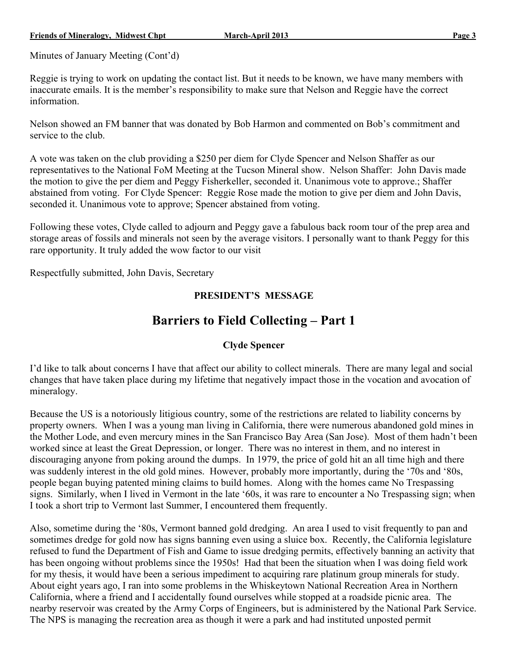Minutes of January Meeting (Cont'd)

Reggie is trying to work on updating the contact list. But it needs to be known, we have many members with inaccurate emails. It is the member's responsibility to make sure that Nelson and Reggie have the correct information.

Nelson showed an FM banner that was donated by Bob Harmon and commented on Bob's commitment and service to the club.

A vote was taken on the club providing a \$250 per diem for Clyde Spencer and Nelson Shaffer as our representatives to the National FoM Meeting at the Tucson Mineral show. Nelson Shaffer: John Davis made the motion to give the per diem and Peggy Fisherkeller, seconded it. Unanimous vote to approve.; Shaffer abstained from voting. For Clyde Spencer: Reggie Rose made the motion to give per diem and John Davis, seconded it. Unanimous vote to approve; Spencer abstained from voting.

Following these votes, Clyde called to adjourn and Peggy gave a fabulous back room tour of the prep area and storage areas of fossils and minerals not seen by the average visitors. I personally want to thank Peggy for this rare opportunity. It truly added the wow factor to our visit

Respectfully submitted, John Davis, Secretary

## **PRESIDENT'S MESSAGE**

# **Barriers to Field Collecting – Part 1**

### **Clyde Spencer**

I'd like to talk about concerns I have that affect our ability to collect minerals. There are many legal and social changes that have taken place during my lifetime that negatively impact those in the vocation and avocation of mineralogy.

Because the US is a notoriously litigious country, some of the restrictions are related to liability concerns by property owners. When I was a young man living in California, there were numerous abandoned gold mines in the Mother Lode, and even mercury mines in the San Francisco Bay Area (San Jose). Most of them hadn't been worked since at least the Great Depression, or longer. There was no interest in them, and no interest in discouraging anyone from poking around the dumps. In 1979, the price of gold hit an all time high and there was suddenly interest in the old gold mines. However, probably more importantly, during the '70s and '80s, people began buying patented mining claims to build homes. Along with the homes came No Trespassing signs. Similarly, when I lived in Vermont in the late '60s, it was rare to encounter a No Trespassing sign; when I took a short trip to Vermont last Summer, I encountered them frequently.

Also, sometime during the '80s, Vermont banned gold dredging. An area I used to visit frequently to pan and sometimes dredge for gold now has signs banning even using a sluice box. Recently, the California legislature refused to fund the Department of Fish and Game to issue dredging permits, effectively banning an activity that has been ongoing without problems since the 1950s! Had that been the situation when I was doing field work for my thesis, it would have been a serious impediment to acquiring rare platinum group minerals for study. About eight years ago, I ran into some problems in the Whiskeytown National Recreation Area in Northern California, where a friend and I accidentally found ourselves while stopped at a roadside picnic area. The nearby reservoir was created by the Army Corps of Engineers, but is administered by the National Park Service. The NPS is managing the recreation area as though it were a park and had instituted unposted permit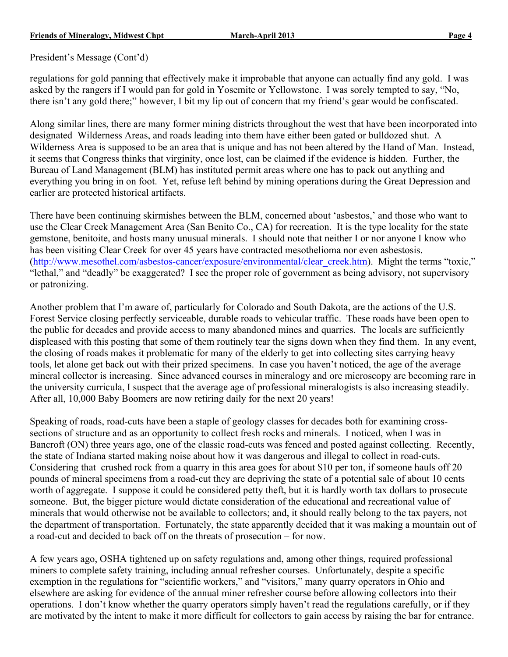President's Message (Cont'd)

regulations for gold panning that effectively make it improbable that anyone can actually find any gold. I was asked by the rangers if I would pan for gold in Yosemite or Yellowstone. I was sorely tempted to say, "No, there isn't any gold there;" however, I bit my lip out of concern that my friend's gear would be confiscated.

Along similar lines, there are many former mining districts throughout the west that have been incorporated into designated Wilderness Areas, and roads leading into them have either been gated or bulldozed shut. A Wilderness Area is supposed to be an area that is unique and has not been altered by the Hand of Man. Instead, it seems that Congress thinks that virginity, once lost, can be claimed if the evidence is hidden. Further, the Bureau of Land Management (BLM) has instituted permit areas where one has to pack out anything and everything you bring in on foot. Yet, refuse left behind by mining operations during the Great Depression and earlier are protected historical artifacts.

There have been continuing skirmishes between the BLM, concerned about 'asbestos,' and those who want to use the Clear Creek Management Area (San Benito Co., CA) for recreation. It is the type locality for the state gemstone, benitoite, and hosts many unusual minerals. I should note that neither I or nor anyone I know who has been visiting Clear Creek for over 45 years have contracted mesothelioma nor even asbestosis. (http://www.mesothel.com/asbestos-cancer/exposure/environmental/clear\_creek.htm). Might the terms "toxic," "lethal," and "deadly" be exaggerated? I see the proper role of government as being advisory, not supervisory or patronizing.

Another problem that I'm aware of, particularly for Colorado and South Dakota, are the actions of the U.S. Forest Service closing perfectly serviceable, durable roads to vehicular traffic. These roads have been open to the public for decades and provide access to many abandoned mines and quarries. The locals are sufficiently displeased with this posting that some of them routinely tear the signs down when they find them. In any event, the closing of roads makes it problematic for many of the elderly to get into collecting sites carrying heavy tools, let alone get back out with their prized specimens. In case you haven't noticed, the age of the average mineral collector is increasing. Since advanced courses in mineralogy and ore microscopy are becoming rare in the university curricula, I suspect that the average age of professional mineralogists is also increasing steadily. After all, 10,000 Baby Boomers are now retiring daily for the next 20 years!

Speaking of roads, road-cuts have been a staple of geology classes for decades both for examining crosssections of structure and as an opportunity to collect fresh rocks and minerals. I noticed, when I was in Bancroft (ON) three years ago, one of the classic road-cuts was fenced and posted against collecting. Recently, the state of Indiana started making noise about how it was dangerous and illegal to collect in road-cuts. Considering that crushed rock from a quarry in this area goes for about \$10 per ton, if someone hauls off 20 pounds of mineral specimens from a road-cut they are depriving the state of a potential sale of about 10 cents worth of aggregate. I suppose it could be considered petty theft, but it is hardly worth tax dollars to prosecute someone. But, the bigger picture would dictate consideration of the educational and recreational value of minerals that would otherwise not be available to collectors; and, it should really belong to the tax payers, not the department of transportation. Fortunately, the state apparently decided that it was making a mountain out of a road-cut and decided to back off on the threats of prosecution – for now.

A few years ago, OSHA tightened up on safety regulations and, among other things, required professional miners to complete safety training, including annual refresher courses. Unfortunately, despite a specific exemption in the regulations for "scientific workers," and "visitors," many quarry operators in Ohio and elsewhere are asking for evidence of the annual miner refresher course before allowing collectors into their operations. I don't know whether the quarry operators simply haven't read the regulations carefully, or if they are motivated by the intent to make it more difficult for collectors to gain access by raising the bar for entrance.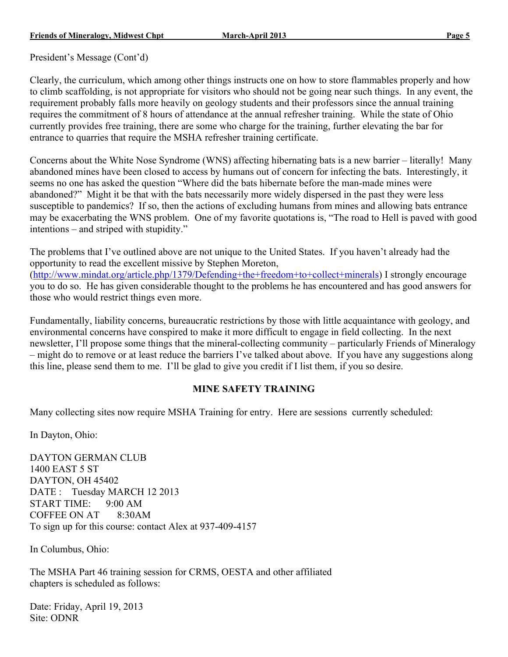President's Message (Cont'd)

Clearly, the curriculum, which among other things instructs one on how to store flammables properly and how to climb scaffolding, is not appropriate for visitors who should not be going near such things. In any event, the requirement probably falls more heavily on geology students and their professors since the annual training requires the commitment of 8 hours of attendance at the annual refresher training. While the state of Ohio currently provides free training, there are some who charge for the training, further elevating the bar for entrance to quarries that require the MSHA refresher training certificate.

Concerns about the White Nose Syndrome (WNS) affecting hibernating bats is a new barrier – literally! Many abandoned mines have been closed to access by humans out of concern for infecting the bats. Interestingly, it seems no one has asked the question "Where did the bats hibernate before the man-made mines were abandoned?" Might it be that with the bats necessarily more widely dispersed in the past they were less susceptible to pandemics? If so, then the actions of excluding humans from mines and allowing bats entrance may be exacerbating the WNS problem. One of my favorite quotations is, "The road to Hell is paved with good intentions – and striped with stupidity."

The problems that I've outlined above are not unique to the United States. If you haven't already had the opportunity to read the excellent missive by Stephen Moreton, (http://www.mindat.org/article.php/1379/Defending+the+freedom+to+collect+minerals) I strongly encourage you to do so. He has given considerable thought to the problems he has encountered and has good answers for those who would restrict things even more.

Fundamentally, liability concerns, bureaucratic restrictions by those with little acquaintance with geology, and environmental concerns have conspired to make it more difficult to engage in field collecting. In the next newsletter, I'll propose some things that the mineral-collecting community – particularly Friends of Mineralogy – might do to remove or at least reduce the barriers I've talked about above. If you have any suggestions along this line, please send them to me. I'll be glad to give you credit if I list them, if you so desire.

### **MINE SAFETY TRAINING**

Many collecting sites now require MSHA Training for entry. Here are sessions currently scheduled:

In Dayton, Ohio:

DAYTON GERMAN CLUB 1400 EAST 5 ST DAYTON, OH 45402 DATE : Tuesday MARCH 12 2013 START TIME: 9:00 AM COFFEE ON AT 8:30AM To sign up for this course: contact Alex at 937-409-4157

In Columbus, Ohio:

The MSHA Part 46 training session for CRMS, OESTA and other affiliated chapters is scheduled as follows:

Date: Friday, April 19, 2013 Site: ODNR